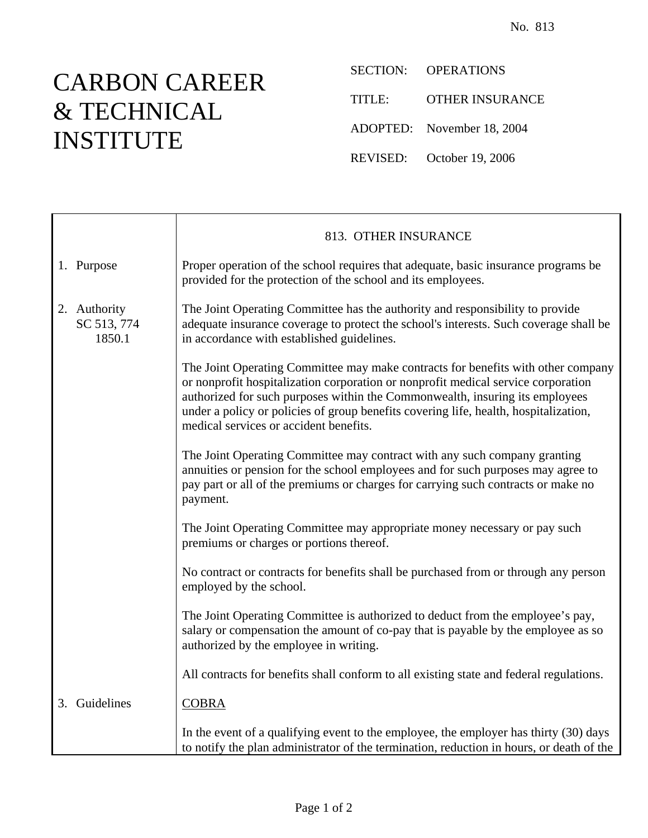## CARBON CAREER & TECHNICAL INSTITUTE

 $\mathsf{r}$ 

SECTION: OPERATIONS

TITLE: OTHER INSURANCE

ADOPTED: November 18, 2004

REVISED: October 19, 2006

|                                       | 813. OTHER INSURANCE                                                                                                                                                                                                                                                                                                                                                                    |
|---------------------------------------|-----------------------------------------------------------------------------------------------------------------------------------------------------------------------------------------------------------------------------------------------------------------------------------------------------------------------------------------------------------------------------------------|
| 1. Purpose                            | Proper operation of the school requires that adequate, basic insurance programs be<br>provided for the protection of the school and its employees.                                                                                                                                                                                                                                      |
| 2. Authority<br>SC 513, 774<br>1850.1 | The Joint Operating Committee has the authority and responsibility to provide<br>adequate insurance coverage to protect the school's interests. Such coverage shall be<br>in accordance with established guidelines.                                                                                                                                                                    |
|                                       | The Joint Operating Committee may make contracts for benefits with other company<br>or nonprofit hospitalization corporation or nonprofit medical service corporation<br>authorized for such purposes within the Commonwealth, insuring its employees<br>under a policy or policies of group benefits covering life, health, hospitalization,<br>medical services or accident benefits. |
|                                       | The Joint Operating Committee may contract with any such company granting<br>annuities or pension for the school employees and for such purposes may agree to<br>pay part or all of the premiums or charges for carrying such contracts or make no<br>payment.                                                                                                                          |
|                                       | The Joint Operating Committee may appropriate money necessary or pay such<br>premiums or charges or portions thereof.                                                                                                                                                                                                                                                                   |
|                                       | No contract or contracts for benefits shall be purchased from or through any person<br>employed by the school.                                                                                                                                                                                                                                                                          |
|                                       | The Joint Operating Committee is authorized to deduct from the employee's pay,<br>salary or compensation the amount of co-pay that is payable by the employee as so<br>authorized by the employee in writing.                                                                                                                                                                           |
|                                       | All contracts for benefits shall conform to all existing state and federal regulations.                                                                                                                                                                                                                                                                                                 |
| 3. Guidelines                         | <b>COBRA</b>                                                                                                                                                                                                                                                                                                                                                                            |
|                                       | In the event of a qualifying event to the employee, the employer has thirty (30) days<br>to notify the plan administrator of the termination, reduction in hours, or death of the                                                                                                                                                                                                       |